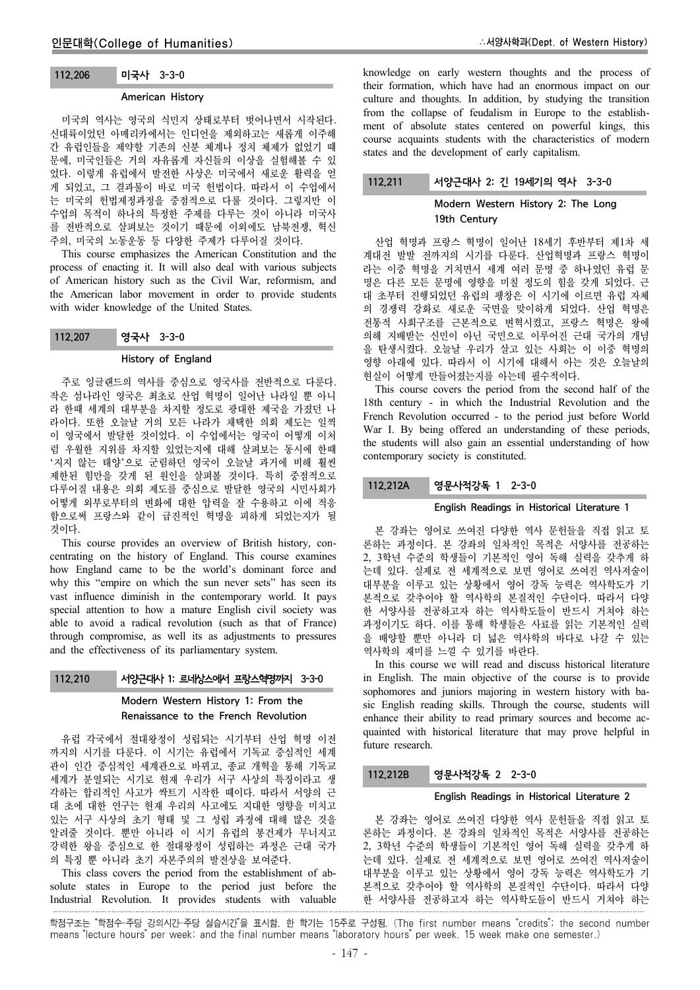# 112.206 미국사 3-3-0

#### American History

미국의 역사는 영국의 식민지 상태로부터 벗어나면서 시작된다. 신대륙이었던 아메리카에서는 인디언을 제외하고는 새롭게 이주해 간 유럽인들을 제약할 기존의 신분 체계나 정치 체제가 없었기 때 문에, 미국인들은 거의 자유롭게 자신들의 이상을 실험해볼 수 있 었다. 이렇게 유럽에서 발전한 사상은 미국에서 새로운 활력을 얻 게 되었고, 그 결과물이 바로 미국 헌법이다. 따라서 이 수업에서 는 미국의 헌법제정과정을 중점적으로 다룰 것이다. 그렇지만 이 수업의 목적이 하나의 특정한 주제를 다루는 것이 아니라 미국사 를 전반적으로 살펴보는 것이기 때문에 이외에도 남북전쟁, 혁신 주의, 미국의 노동운동 등 다양한 주제가 다루어질 것이다.

This course emphasizes the American Constitution and the process of enacting it. It will also deal with various subjects of American history such as the Civil War, reformism, and the American labor movement in order to provide students with wider knowledge of the United States.

#### History of England

주로 잉글랜드의 역사를 중심으로 영국사를 전반적으로 다룬다. 작은 섬나라인 영국은 최초로 산업 혁명이 일어난 나라일 뿐 아니 라 한때 세계의 대부분을 차지할 정도로 광대한 제국을 가졌던 나 라이다. 또한 오늘날 거의 모든 나라가 채택한 의회 제도는 일찍 이 영국에서 발달한 것이었다. 이 수업에서는 영국이 어떻게 이처 럼 우월한 지위를 차지할 있었는지에 대해 살펴보는 동시에 한때 '지지 않는 태양'으로 군림하던 영국이 오늘날 과거에 비해 훨씬 제한된 힘만을 갖게 된 원인을 살펴볼 것이다. 특히 중점적으로 다루어질 내용은 의회 제도를 중심으로 발달한 영국의 시민사회가 어떻게 외부로부터의 변화에 대한 압력을 잘 수용하고 이에 적응 함으로써 프랑스와 같이 급진적인 혁명을 피하게 되었는지가 될 것이다.

This course provides an overview of British history, concentrating on the history of England. This course examines how England came to be the world's dominant force and why this "empire on which the sun never sets" has seen its vast influence diminish in the contemporary world. It pays special attention to how a mature English civil society was able to avoid a radical revolution (such as that of France) through compromise, as well its as adjustments to pressures and the effectiveness of its parliamentary system.

#### 112.210 서양근대사 1: 르네상스에서 프랑스혁명까지 3-3-0

# Modern Western History 1: From the Renaissance to the French Revolution

유럽 각국에서 절대왕정이 성립되는 시기부터 산업 혁명 이전 까지의 시기를 다룬다. 이 시기는 유럽에서 기독교 중심적인 세계 관이 인간 중심적인 세계관으로 바뀌고, 종교 개혁을 통해 기독교 세계가 분열되는 시기로 현재 우리가 서구 사상의 특징이라고 생 각하는 합리적인 사고가 싹트기 시작한 때이다. 따라서 서양의 근 대 초에 대한 연구는 현재 우리의 사고에도 지대한 영향을 미치고 있는 서구 사상의 초기 형태 및 그 성립 과정에 대해 많은 것을 알려줄 것이다. 뿐만 아니라 이 시기 유럽의 봉건제가 무너지고 강력한 왕을 중심으로 한 절대왕정이 성립하는 과정은 근대 국가 의 특징 뿐 아니라 초기 자본주의의 발전상을 보여준다.

This class covers the period from the establishment of absolute states in Europe to the period just before the Industrial Revolution. It provides students with valuable knowledge on early western thoughts and the process of their formation, which have had an enormous impact on our culture and thoughts. In addition, by studying the transition from the collapse of feudalism in Europe to the establishment of absolute states centered on powerful kings, this course acquaints students with the characteristics of modern states and the development of early capitalism.

# 112.211 서양근대사 2: 긴 19세기의 역사 3-3-0

# Modern Western History 2: The Long 19th Century

산업 혁명과 프랑스 혁명이 일어난 18세기 후반부터 제1차 세 계대전 발발 전까지의 시기를 다룬다. 산업혁명과 프랑스 혁명이 라는 이중 혁명을 거치면서 세계 여러 문명 중 하나였던 유럽 문 명은 다른 모든 문명에 영향을 미칠 정도의 힘을 갖게 되었다. 근 대 초부터 진행되었던 유럽의 팽창은 이 시기에 이르면 유럽 자체 의 경쟁력 강화로 새로운 국면을 맞이하게 되었다. 산업 혁명은 전통적 사회구조를 근본적으로 변혁시켰고, 프랑스 혁명은 왕에 의해 지배받는 신민이 아닌 국민으로 이루어진 근대 국가의 개념 을 탄생시켰다. 오늘날 우리가 살고 있는 사회는 이 이중 혁명의 영향 아래에 있다. 따라서 이 시기에 대해서 아는 것은 오늘날의 현실이 어떻게 만들어졌는지를 아는데 필수적이다.

This course covers the period from the second half of the 18th century - in which the Industrial Revolution and the French Revolution occurred - to the period just before World War I. By being offered an understanding of these periods, the students will also gain an essential understanding of how contemporary society is constituted.

## 112.212A 영문사적강독 1 2-3-0

### English Readings in Historical Literature 1

본 강좌는 영어로 쓰여진 다양한 역사 문헌들을 직접 읽고 토 론하는 과정이다. 본 강좌의 일차적인 목적은 서양사를 전공하는 2, 3학년 수준의 학생들이 기본적인 영어 독해 실력을 갖추게 하 는데 있다. 실제로 전 세계적으로 보면 영어로 쓰여진 역사저술이 대부분을 이루고 있는 상황에서 영어 강독 능력은 역사학도가 기 본적으로 갖추어야 할 역사학의 본질적인 수단이다. 따라서 다양 한 서양사를 전공하고자 하는 역사학도들이 반드시 거쳐야 하는 과정이기도 하다. 이를 통해 학생들은 사료를 읽는 기본적인 실력 을 배양할 뿐만 아니라 더 넓은 역사학의 바다로 나갈 수 있는 역사학의 재미를 느낄 수 있기를 바란다.

In this course we will read and discuss historical literature in English. The main objective of the course is to provide sophomores and juniors majoring in western history with basic English reading skills. Through the course, students will enhance their ability to read primary sources and become acquainted with historical literature that may prove helpful in future research.

# 112.212B 영문사적강독 2 2-3-0

## English Readings in Historical Literature 2

본 강좌는 영어로 쓰여진 다양한 역사 문헌들을 직접 읽고 토 론하는 과정이다. 본 강좌의 일차적인 목적은 서양사를 전공하는 2, 3학년 수준의 학생들이 기본적인 영어 독해 실력을 갖추게 하 는데 있다. 실제로 전 세계적으로 보면 영어로 쓰여진 역사저술이 대부분을 이루고 있는 상황에서 영어 강독 능력은 역사학도가 기 본적으로 갖추어야 할 역사학의 본질적인 수단이다. 따라서 다양 한 서양사를 전공하고자 하는 역사학도들이 반드시 거쳐야 하는

학점구조는 "학점수-주당 강의시간-주당 실습시간"을 표시함. 한 학기는 15주로 구성됨. (The first number means "credits"; the second number means "lecture hours" per week; and the final number means "laboratory hours" per week. 15 week make one semester.)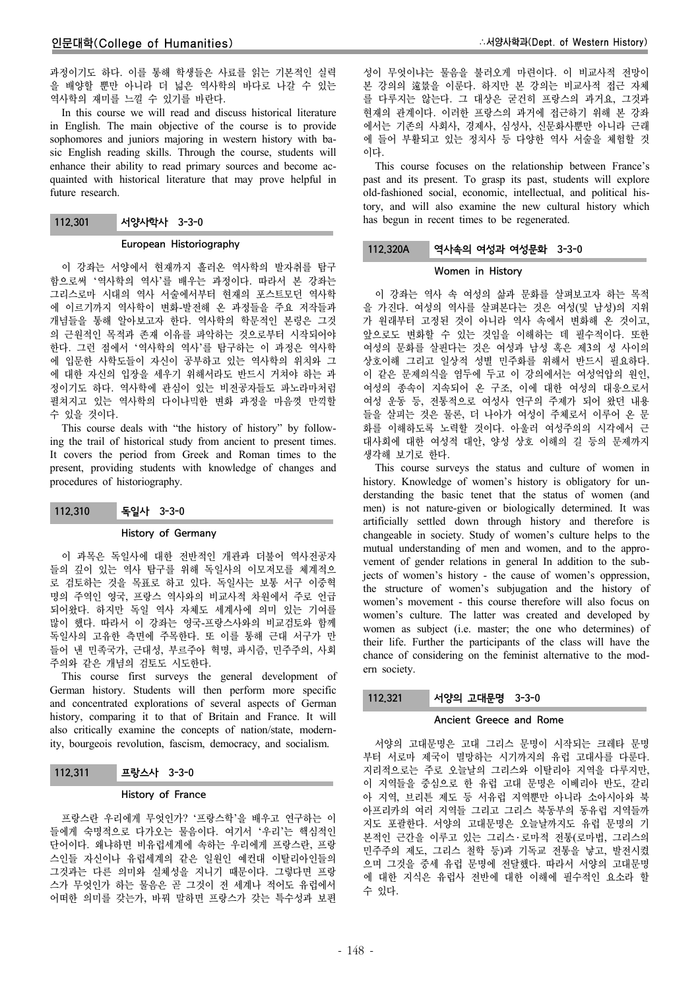과정이기도 하다. 이를 통해 학생들은 사료를 읽는 기본적인 실력 을 배양할 뿐만 아니라 더 넓은 역사학의 바다로 나갈 수 있는 역사학의 재미를 느낄 수 있기를 바란다.

In this course we will read and discuss historical literature in English. The main objective of the course is to provide sophomores and juniors majoring in western history with basic English reading skills. Through the course, students will enhance their ability to read primary sources and become acquainted with historical literature that may prove helpful in future research.

# 112.301 서양사학사 3-3-0

### European Historiography

이 강좌는 서양에서 현재까지 흘러온 역사학의 발자취를 탐구 함으로써 '역사학의 역사'를 배우는 과정이다. 따라서 본 강좌는 그리스로마 시대의 역사 서술에서부터 현재의 포스트모던 역사학 에 이르기까지 역사학이 변화-발전해 온 과정들을 주요 저작들과 개념들을 통해 알아보고자 한다. 역사학의 학문적인 본령은 그것 의 근원적인 목적과 존재 이유를 파악하는 것으로부터 시작되어야 한다. 그런 점에서 '역사학의 역사'를 탐구하는 이 과정은 역사학 에 입문한 사학도들이 자신이 공부하고 있는 역사학의 위치와 그 에 대한 자신의 입장을 세우기 위해서라도 반드시 거쳐야 하는 과 정이기도 하다. 역사학에 관심이 있는 비전공자들도 파노라마처럼 펼쳐지고 있는 역사학의 다이나믹한 변화 과정을 마음껏 만끽할 수 있을 것이다.

This course deals with "the history of history" by following the trail of historical study from ancient to present times. It covers the period from Greek and Roman times to the present, providing students with knowledge of changes and procedures of historiography.

112.310 독일사 3-3-0

#### History of Germany

이 과목은 독일사에 대한 전반적인 개관과 더불어 역사전공자 들의 깊이 있는 역사 탐구를 위해 독일사의 이모저모를 체계적으 로 검토하는 것을 목표로 하고 있다. 독일사는 보통 서구 이중혁 명의 주역인 영국, 프랑스 역사와의 비교사적 차원에서 주로 언급 되어왔다. 하지만 독일 역사 자체도 세계사에 의미 있는 기여를 많이 했다. 따라서 이 강좌는 영국-프랑스사와의 비교검토와 함께 독일사의 고유한 측면에 주목한다. 또 이를 통해 근대 서구가 만 들어 낸 민족국가, 근대성, 부르주아 혁명, 파시즘, 민주주의, 사회 주의와 같은 개념의 검토도 시도한다.

This course first surveys the general development of German history. Students will then perform more specific and concentrated explorations of several aspects of German history, comparing it to that of Britain and France. It will also critically examine the concepts of nation/state, modernity, bourgeois revolution, fascism, democracy, and socialism.

## 112.311 프랑스사 3-3-0

## History of France

프랑스란 우리에게 무엇인가? '프랑스학'을 배우고 연구하는 이 들에게 숙명적으로 다가오는 물음이다. 여기서 '우리'는 핵심적인 단어이다. 왜냐하면 비유럽세계에 속하는 우리에게 프랑스란, 프랑 스인들 자신이나 유럽세계의 같은 일원인 예컨대 이탈리아인들의 그것과는 다른 의미와 실체성을 지니기 때문이다. 그렇다면 프랑 스가 무엇인가 하는 물음은 곧 그것이 전 세계나 적어도 유럽에서 어떠한 의미를 갖는가, 바꿔 말하면 프랑스가 갖는 특수성과 보편

성이 무엇이냐는 물음을 불러오게 마련이다. 이 비교사적 전망이 본 강의의 遠景을 이룬다. 하지만 본 강의는 비교사적 접근 자체 를 다루지는 않는다. 그 대상은 굳건히 프랑스의 과거요, 그것과 현재의 관계이다. 이러한 프랑스의 과거에 접근하기 위해 본 강좌 에서는 기존의 사회사, 경제사, 심성사, 신문화사뿐만 아니라 근래 에 들어 부활되고 있는 정치사 등 다양한 역사 서술을 체험할 것 이다.

This course focuses on the relationship between France's past and its present. To grasp its past, students will explore old-fashioned social, economic, intellectual, and political history, and will also examine the new cultural history which has begun in recent times to be regenerated.

# 112.320A 역사속의 여성과 여성문화 3-3-0

#### Women in History

이 강좌는 역사 속 여성의 삶과 문화를 살펴보고자 하는 목적 을 가진다. 여성의 역사를 살펴본다는 것은 여성(및 남성)의 지위 가 원래부터 고정된 것이 아니라 역사 속에서 변화해 온 것이고, 앞으로도 변화할 수 있는 것임을 이해하는 데 필수적이다. 또한 여성의 문화를 살핀다는 것은 여성과 남성 혹은 제3의 성 사이의 상호이해 그리고 일상적 성별 민주화를 위해서 반드시 필요하다. 이 같은 문제의식을 염두에 두고 이 강의에서는 여성억압의 원인, 여성의 종속이 지속되어 온 구조, 이에 대한 여성의 대응으로서 여성 운동 등, 전통적으로 여성사 연구의 주제가 되어 왔던 내용 들을 살피는 것은 물론, 더 나아가 여성이 주체로서 이루어 온 문 화를 이해하도록 노력할 것이다. 아울러 여성주의의 시각에서 근 대사회에 대한 여성적 대안, 양성 상호 이해의 길 등의 문제까지 생각해 보기로 한다.

This course surveys the status and culture of women in history. Knowledge of women's history is obligatory for understanding the basic tenet that the status of women (and men) is not nature-given or biologically determined. It was artificially settled down through history and therefore is changeable in society. Study of women's culture helps to the mutual understanding of men and women, and to the approvement of gender relations in general In addition to the subjects of women's history - the cause of women's oppression, the structure of women's subjugation and the history of women's movement - this course therefore will also focus on women's culture. The latter was created and developed by women as subject (i.e. master; the one who determines) of their life. Further the participants of the class will have the chance of considering on the feminist alternative to the modern society.

# 112.321 서양의 고대문명 3-3-0

## Ancient Greece and Rome

서양의 고대문명은 고대 그리스 문명이 시작되는 크레타 문명 부터 서로마 제국이 멸망하는 시기까지의 유럽 고대사를 다룬다. 지리적으로는 주로 오늘날의 그리스와 이탈리아 지역을 다루지만, 이 지역들을 중심으로 한 유럽 고대 문명은 이베리아 반도, 갈리 아 지역, 브리튼 제도 등 서유럽 지역뿐만 아니라 소아시아와 북 아프리카의 여러 지역들 그리고 그리스 북동부의 동유럽 지역들까 지도 포괄한다. 서양의 고대문명은 오늘날까지도 유럽 문명의 기 본적인 근간을 이루고 있는 그리스 · 로마적 전통(로마법, 그리스의 민주주의 제도, 그리스 철학 등)과 기독교 전통을 낳고, 발전시켰 으며 그것을 중세 유럽 문명에 전달했다. 따라서 서양의 고대문명 에 대한 지식은 유럽사 전반에 대한 이해에 필수적인 요소라 할 수 있다.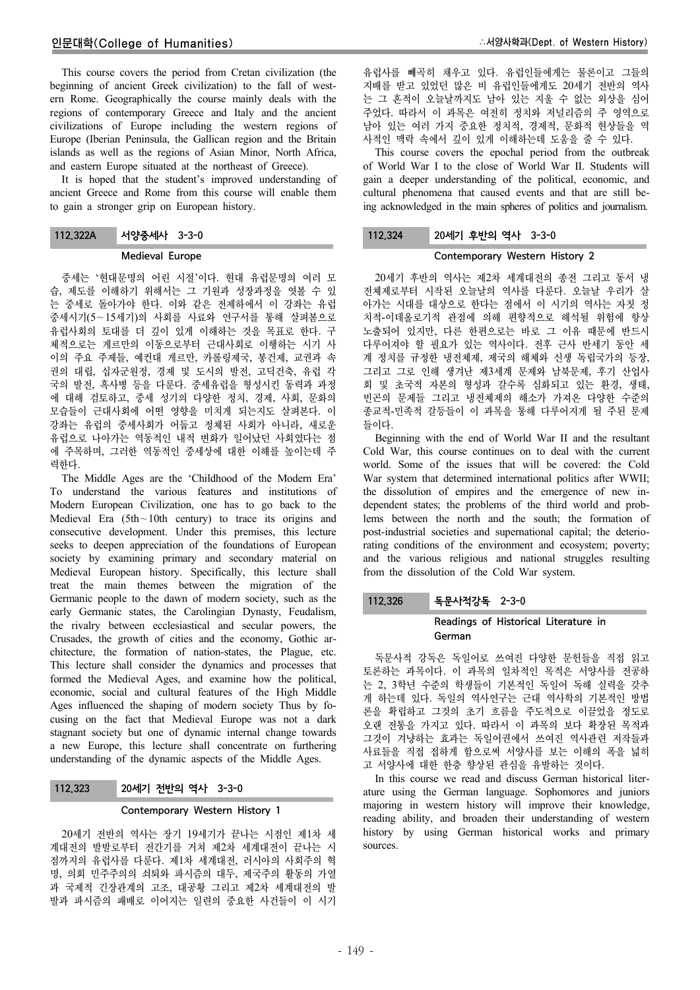This course covers the period from Cretan civilization (the beginning of ancient Greek civilization) to the fall of western Rome. Geographically the course mainly deals with the regions of contemporary Greece and Italy and the ancient civilizations of Europe including the western regions of Europe (Iberian Peninsula, the Gallican region and the Britain islands as well as the regions of Asian Minor, North Africa, and eastern Europe situated at the northeast of Greece).

It is hoped that the student's improved understanding of ancient Greece and Rome from this course will enable them to gain a stronger grip on European history.

| 112,322A | 서양중세사 3-3-0 |
|----------|-------------|
|----------|-------------|

#### Medieval Europe

중세는 '현대문명의 어린 시절'이다. 현대 유럽문명의 여러 모 습, 제도를 이해하기 위해서는 그 기원과 성장과정을 엿볼 수 있 는 중세로 돌아가야 한다. 이와 같은 전제하에서 이 강좌는 유럽 중세시기(5∼15세기)의 사회를 사료와 연구서를 통해 살펴봄으로 유럽사회의 토대를 더 깊이 있게 이해하는 것을 목표로 한다. 구 체적으로는 게르만의 이동으로부터 근대사회로 이행하는 시기 사 이의 주요 주제들, 예컨대 게르만, 카롤링제국, 봉건제, 교권과 속 권의 대립, 십자군원정, 경제 및 도시의 발전, 고딕건축, 유럽 각 국의 발전, 흑사병 등을 다룬다. 중세유럽을 형성시킨 동력과 과정 에 대해 검토하고, 중세 성기의 다양한 정치, 경제, 사회, 문화의 모습들이 근대사회에 어떤 영향을 미치게 되는지도 살펴본다. 이 강좌는 유럽의 중세사회가 어둡고 정체된 사회가 아니라, 새로운 유럽으로 나아가는 역동적인 내적 변화가 일어났던 사회였다는 점 에 주목하며, 그러한 역동적인 중세상에 대한 이해를 높이는데 주 력한다.

The Middle Ages are the 'Childhood of the Modern Era' To understand the various features and institutions of Modern European Civilization, one has to go back to the Medieval Era (5th∼10th century) to trace its origins and consecutive development. Under this premises, this lecture seeks to deepen appreciation of the foundations of European society by examining primary and secondary material on Medieval European history. Specifically, this lecture shall treat the main themes between the migration of the Germanic people to the dawn of modern society, such as the early Germanic states, the Carolingian Dynasty, Feudalism, the rivalry between ecclesiastical and secular powers, the Crusades, the growth of cities and the economy, Gothic architecture, the formation of nation-states, the Plague, etc. This lecture shall consider the dynamics and processes that formed the Medieval Ages, and examine how the political, economic, social and cultural features of the High Middle Ages influenced the shaping of modern society Thus by focusing on the fact that Medieval Europe was not a dark stagnant society but one of dynamic internal change towards a new Europe, this lecture shall concentrate on furthering understanding of the dynamic aspects of the Middle Ages.

## 112.323 20세기 전반의 역사 3-3-0

## Contemporary Western History 1

20세기 전반의 역사는 장기 19세기가 끝나는 시점인 제1차 세 계대전의 발발로부터 전간기를 거쳐 제2차 세계대전이 끝나는 시 점까지의 유럽사를 다룬다. 제1차 세계대전, 러시아의 사회주의 혁 명, 의회 민주주의의 쇠퇴와 파시즘의 대두, 제국주의 활동의 가열 과 국제적 긴장관계의 고조, 대공황 그리고 제2차 세계대전의 발 발과 파시즘의 패배로 이어지는 일련의 중요한 사건들이 이 시기

유럽사를 빼곡히 채우고 있다. 유럽인들에게는 물론이고 그들의 지배를 받고 있었던 많은 비 유럽인들에게도 20세기 전반의 역사 는 그 흔적이 오늘날까지도 남아 있는 지울 수 없는 외상을 심어 주었다. 따라서 이 과목은 여전히 정치와 저널리즘의 주 영역으로 남아 있는 여러 가지 중요한 정치적, 경제적, 문화적 현상들을 역 사적인 맥락 속에서 깊이 있게 이해하는데 도움을 줄 수 있다.

This course covers the epochal period from the outbreak of World War I to the close of World War II. Students will gain a deeper understanding of the political, economic, and cultural phenomena that caused events and that are still being acknowledged in the main spheres of politics and journalism.

# 112.324 20세기 후반의 역사 3-3-0

# Contemporary Western History 2

20세기 후반의 역사는 제2차 세계대전의 종전 그리고 동서 냉 전체제로부터 시작된 오늘날의 역사를 다룬다. 오늘날 우리가 살 아가는 시대를 대상으로 한다는 점에서 이 시기의 역사는 자칫 정 치적-이데올로기적 관점에 의해 편향적으로 해석될 위험에 항상 노출되어 있지만, 다른 한편으로는 바로 그 이유 때문에 반드시 다루어져야 할 필요가 있는 역사이다. 전후 근사 반세기 동안 세 계 정치를 규정한 냉전체제, 제국의 해체와 신생 독립국가의 등장, 그리고 그로 인해 생겨난 제3세계 문제와 남북문제, 후기 산업사 회 및 초국적 자본의 형성과 갈수록 심화되고 있는 환경, 생태, 빈곤의 문제들 그리고 냉전체제의 해소가 가져온 다양한 수준의 종교적-민족적 갈등들이 이 과목을 통해 다루어지게 될 주된 문제 들이다.

Beginning with the end of World War II and the resultant Cold War, this course continues on to deal with the current world. Some of the issues that will be covered: the Cold War system that determined international politics after WWII; the dissolution of empires and the emergence of new independent states; the problems of the third world and problems between the north and the south; the formation of post-industrial societies and supernational capital; the deteriorating conditions of the environment and ecosystem; poverty; and the various religious and national struggles resulting from the dissolution of the Cold War system.

## 112.326 독문사적강독 2-3-0

# Readings of Historical Literature in German

독문사적 강독은 독일어로 쓰여진 다양한 문헌들을 직접 읽고 토론하는 과목이다. 이 과목의 일차적인 목적은 서양사를 전공하 는 2, 3학년 수준의 학생들이 기본적인 독일어 독해 실력을 갖추 게 하는데 있다. 독일의 역사연구는 근대 역사학의 기본적인 방법 론을 확립하고 그것의 초기 흐름을 주도적으로 이끌었을 정도로 오랜 전통을 가지고 있다. 따라서 이 과목의 보다 확장된 목적과 그것이 겨냥하는 효과는 독일어권에서 쓰여진 역사관련 저작들과 사료들을 직접 접하게 함으로써 서양사를 보는 이해의 폭을 넓히 고 서양사에 대한 한층 향상된 관심을 유발하는 것이다.

In this course we read and discuss German historical literature using the German language. Sophomores and juniors majoring in western history will improve their knowledge, reading ability, and broaden their understanding of western history by using German historical works and primary sources.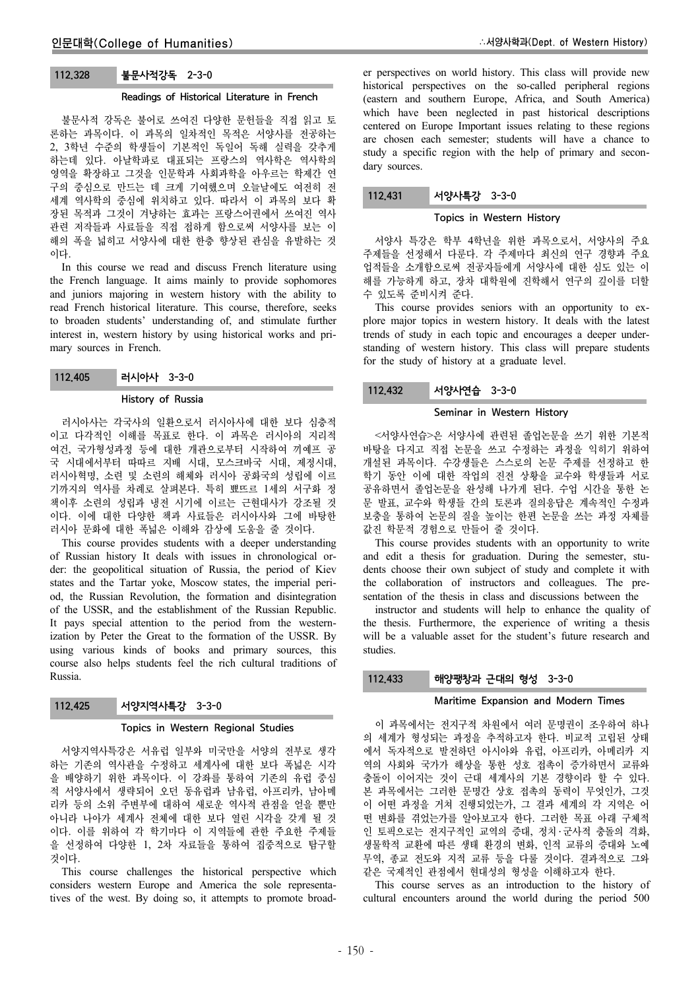## 112.328 불문사적강독 2-3-0

#### Readings of Historical Literature in French

불문사적 강독은 불어로 쓰여진 다양한 문헌들을 직접 읽고 토 론하는 과목이다. 이 과목의 일차적인 목적은 서양사를 전공하는 2, 3학년 수준의 학생들이 기본적인 독일어 독해 실력을 갖추게 하는데 있다. 아날학파로 대표되는 프랑스의 역사학은 역사학의 영역을 확장하고 그것을 인문학과 사회과학을 아우르는 학제간 연 구의 중심으로 만드는 데 크게 기여했으며 오늘날에도 여전히 전 세계 역사학의 중심에 위치하고 있다. 따라서 이 과목의 보다 확 장된 목적과 그것이 겨냥하는 효과는 프랑스어권에서 쓰여진 역사 관련 저작들과 사료들을 직접 접하게 함으로써 서양사를 보는 이 해의 폭을 넓히고 서양사에 대한 한층 향상된 관심을 유발하는 것 이다.

In this course we read and discuss French literature using the French language. It aims mainly to provide sophomores and juniors majoring in western history with the ability to read French historical literature. This course, therefore, seeks to broaden students' understanding of, and stimulate further interest in, western history by using historical works and primary sources in French.

#### History of Russia

러시아사는 각국사의 일환으로서 러시아사에 대한 보다 심층적 이고 다각적인 이해를 목표로 한다. 이 과목은 러시아의 지리적 여건, 국가형성과정 등에 대한 개관으로부터 시작하여 끼예프 공 국 시대에서부터 따따르 지배 시대, 모스크바국 시대, 제정시대, 러시아혁명, 소련 및 소련의 해체와 러시아 공화국의 성립에 이르 기까지의 역사를 차례로 살펴본다. 특히 뾰뜨르 1세의 서구화 정 책이후 소련의 성립과 냉전 시기에 이르는 근현대사가 강조될 것 이다. 이에 대한 다양한 책과 사료들은 러시아사와 그에 바탕한 러시아 문화에 대한 폭넓은 이해와 감상에 도움을 줄 것이다.

This course provides students with a deeper understanding of Russian history It deals with issues in chronological order: the geopolitical situation of Russia, the period of Kiev states and the Tartar yoke, Moscow states, the imperial period, the Russian Revolution, the formation and disintegration of the USSR, and the establishment of the Russian Republic. It pays special attention to the period from the westernization by Peter the Great to the formation of the USSR. By using various kinds of books and primary sources, this course also helps students feel the rich cultural traditions of Russia.

| 112,425 | 서양지역사특강 3-3-0 |  |
|---------|---------------|--|
|         |               |  |

#### Topics in Western Regional Studies

서양지역사특강은 서유럽 일부와 미국만을 서양의 전부로 생각 하는 기존의 역사관을 수정하고 세계사에 대한 보다 폭넓은 시각 을 배양하기 위한 과목이다. 이 강좌를 통하여 기존의 유럽 중심 적 서양사에서 생략되어 오던 동유럽과 남유럽, 아프리카, 남아메 리카 등의 소위 주변부에 대하여 새로운 역사적 관점을 얻을 뿐만 아니라 나아가 세계사 전체에 대한 보다 열린 시각을 갖게 될 것 이다. 이를 위하여 각 학기마다 이 지역들에 관한 주요한 주제들 을 선정하여 다양한 1, 2차 자료들을 통하여 집중적으로 탐구할 것이다.

This course challenges the historical perspective which considers western Europe and America the sole representatives of the west. By doing so, it attempts to promote broader perspectives on world history. This class will provide new historical perspectives on the so-called peripheral regions (eastern and southern Europe, Africa, and South America) which have been neglected in past historical descriptions centered on Europe Important issues relating to these regions are chosen each semester; students will have a chance to study a specific region with the help of primary and secondary sources.

## 112.431 서양사특강 3-3-0

#### Topics in Western History

서양사 특강은 학부 4학년을 위한 과목으로서, 서양사의 주요 주제들을 선정해서 다룬다. 각 주제마다 최신의 연구 경향과 주요 업적들을 소개함으로써 전공자들에게 서양사에 대한 심도 있는 이 해를 가능하게 하고, 장차 대학원에 진학해서 연구의 깊이를 더할 수 있도록 준비시켜 준다.

This course provides seniors with an opportunity to explore major topics in western history. It deals with the latest trends of study in each topic and encourages a deeper understanding of western history. This class will prepare students for the study of history at a graduate level.

#### 112.432 서양사연습 3-3-0

## Seminar in Western History

<서양사연습>은 서양사에 관련된 졸업논문을 쓰기 위한 기본적 바탕을 다지고 직접 논문을 쓰고 수정하는 과정을 익히기 위하여 개설된 과목이다. 수강생들은 스스로의 논문 주제를 선정하고 한 학기 동안 이에 대한 작업의 진전 상황을 교수와 학생들과 서로 공유하면서 졸업논문을 완성해 나가게 된다. 수업 시간을 통한 논 문 발표, 교수와 학생들 간의 토론과 질의응답은 계속적인 수정과 보충을 통하여 논문의 질을 높이는 한편 논문을 쓰는 과정 자체를 값진 학문적 경험으로 만들어 줄 것이다.

This course provides students with an opportunity to write and edit a thesis for graduation. During the semester, students choose their own subject of study and complete it with the collaboration of instructors and colleagues. The presentation of the thesis in class and discussions between the

instructor and students will help to enhance the quality of the thesis. Furthermore, the experience of writing a thesis will be a valuable asset for the student's future research and studies.

## 112.433 해양팽창과 근대의 형성 3-3-0

#### Maritime Expansion and Modern Times

이 과목에서는 전지구적 차원에서 여러 문명권이 조우하여 하나 의 세계가 형성되는 과정을 추적하고자 한다. 비교적 고립된 상태 에서 독자적으로 발전하던 아시아와 유럽, 아프리카, 아메리카 지 역의 사회와 국가가 해상을 통한 성호 접촉이 증가하면서 교류와 충돌이 이어지는 것이 근대 세계사의 기본 경향이라 할 수 있다. 본 과목에서는 그러한 문명간 상호 접촉의 동력이 무엇인가, 그것 이 어떤 과정을 거쳐 진행되었는가, 그 결과 세계의 각 지역은 어 떤 변화를 겪었는가를 알아보고자 한다. 그러한 목표 아래 구체적 인 토픽으로는 전지구적인 교역의 증대, 정치 ․ 군사적 충돌의 격화, 생물학적 교환에 따른 생태 환경의 변화, 인적 교류의 증대와 노예 무역, 종교 전도와 지적 교류 등을 다룰 것이다. 결과적으로 그와 같은 국제적인 관점에서 현대성의 형성을 이해하고자 한다.

This course serves as an introduction to the history of cultural encounters around the world during the period 500